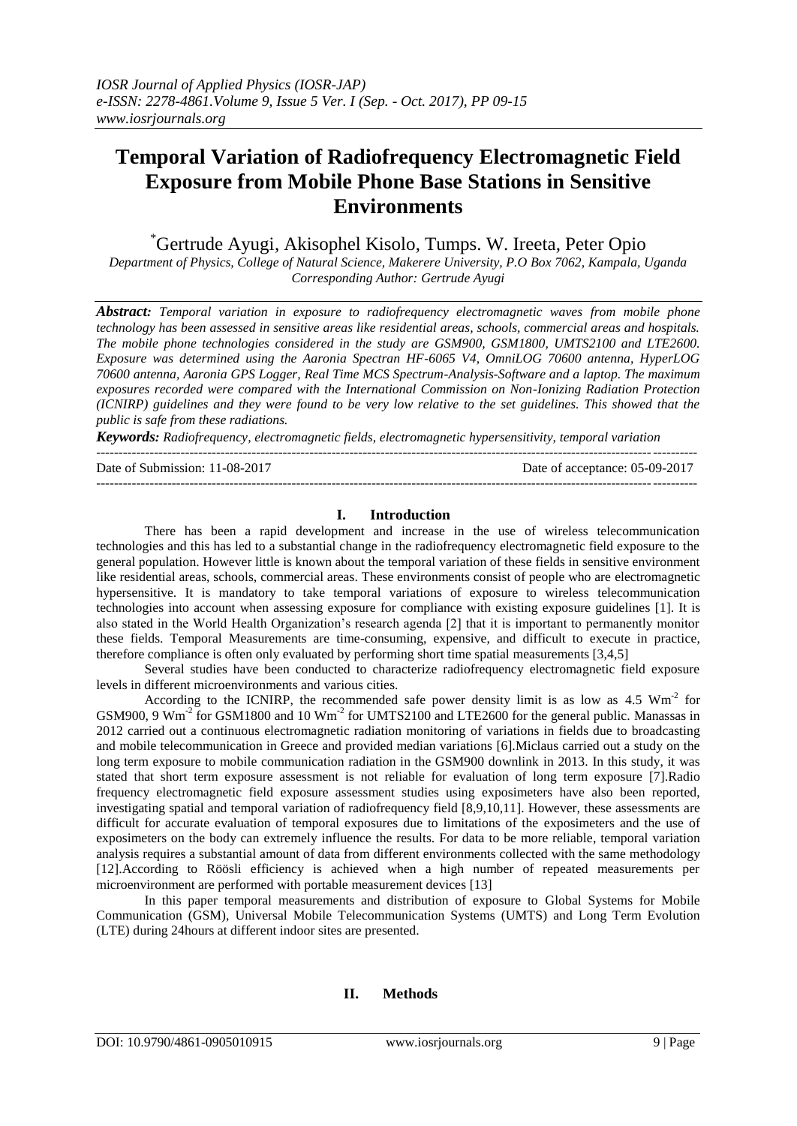# **Temporal Variation of Radiofrequency Electromagnetic Field Exposure from Mobile Phone Base Stations in Sensitive Environments**

\*Gertrude Ayugi, Akisophel Kisolo, Tumps. W. Ireeta, Peter Opio

*Department of Physics, College of Natural Science, Makerere University, P.O Box 7062, Kampala, Uganda Corresponding Author: Gertrude Ayugi*

*Abstract: Temporal variation in exposure to radiofrequency electromagnetic waves from mobile phone technology has been assessed in sensitive areas like residential areas, schools, commercial areas and hospitals. The mobile phone technologies considered in the study are GSM900, GSM1800, UMTS2100 and LTE2600. Exposure was determined using the Aaronia Spectran HF-6065 V4, OmniLOG 70600 antenna, HyperLOG 70600 antenna, Aaronia GPS Logger, Real Time MCS Spectrum-Analysis-Software and a laptop. The maximum exposures recorded were compared with the International Commission on Non-Ionizing Radiation Protection (ICNIRP) guidelines and they were found to be very low relative to the set guidelines. This showed that the public is safe from these radiations.*

*Keywords: Radiofrequency, electromagnetic fields, electromagnetic hypersensitivity, temporal variation*

--------------------------------------------------------------------------------------------------------------------------------------- Date of Submission: 11-08-2017 Date of acceptance: 05-09-2017

---------------------------------------------------------------------------------------------------------------------------------------

## **I. Introduction**

There has been a rapid development and increase in the use of wireless telecommunication technologies and this has led to a substantial change in the radiofrequency electromagnetic field exposure to the general population. However little is known about the temporal variation of these fields in sensitive environment like residential areas, schools, commercial areas. These environments consist of people who are electromagnetic hypersensitive. It is mandatory to take temporal variations of exposure to wireless telecommunication technologies into account when assessing exposure for compliance with existing exposure guidelines [1]. It is also stated in the World Health Organization's research agenda [2] that it is important to permanently monitor these fields. Temporal Measurements are time-consuming, expensive, and difficult to execute in practice, therefore compliance is often only evaluated by performing short time spatial measurements [3,4,5]

Several studies have been conducted to characterize radiofrequency electromagnetic field exposure levels in different microenvironments and various cities.

According to the ICNIRP, the recommended safe power density limit is as low as  $4.5 \text{ Wm}^2$  for GSM900, 9 Wm<sup>-2</sup> for GSM1800 and 10 Wm<sup>-2</sup> for UMTS2100 and LTE2600 for the general public. Manassas in 2012 carried out a continuous electromagnetic radiation monitoring of variations in fields due to broadcasting and mobile telecommunication in Greece and provided median variations [6].Miclaus carried out a study on the long term exposure to mobile communication radiation in the GSM900 downlink in 2013. In this study, it was stated that short term exposure assessment is not reliable for evaluation of long term exposure [7].Radio frequency electromagnetic field exposure assessment studies using exposimeters have also been reported, investigating spatial and temporal variation of radiofrequency field [8,9,10,11]. However, these assessments are difficult for accurate evaluation of temporal exposures due to limitations of the exposimeters and the use of exposimeters on the body can extremely influence the results. For data to be more reliable, temporal variation analysis requires a substantial amount of data from different environments collected with the same methodology [12].According to Röösli efficiency is achieved when a high number of repeated measurements per microenvironment are performed with portable measurement devices [13]

In this paper temporal measurements and distribution of exposure to Global Systems for Mobile Communication (GSM), Universal Mobile Telecommunication Systems (UMTS) and Long Term Evolution (LTE) during 24hours at different indoor sites are presented.

## **II. Methods**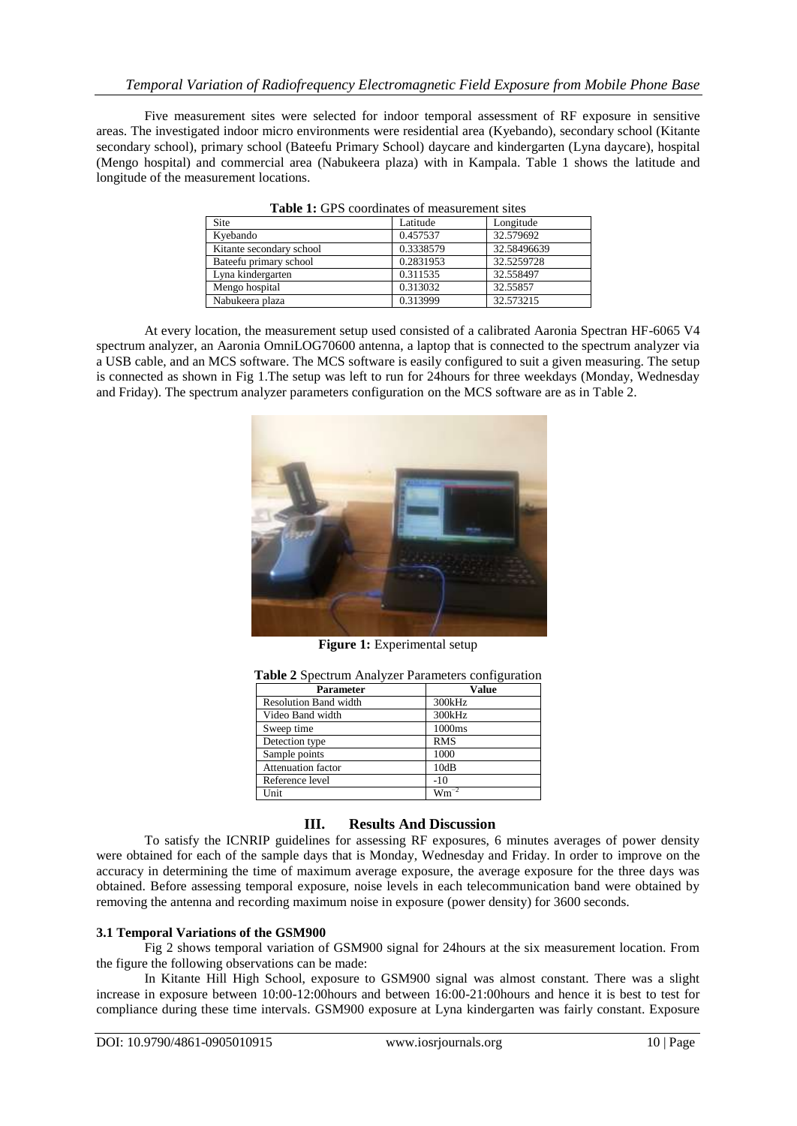Five measurement sites were selected for indoor temporal assessment of RF exposure in sensitive areas. The investigated indoor micro environments were residential area (Kyebando), secondary school (Kitante secondary school), primary school (Bateefu Primary School) daycare and kindergarten (Lyna daycare), hospital (Mengo hospital) and commercial area (Nabukeera plaza) with in Kampala. Table 1 shows the latitude and longitude of the measurement locations.

| Table 1. Of 9 coordinates of measurement sites |           |             |  |  |
|------------------------------------------------|-----------|-------------|--|--|
| <b>Site</b>                                    | Latitude  | Longitude   |  |  |
| Kyebando                                       | 0.457537  | 32.579692   |  |  |
| Kitante secondary school                       | 0.3338579 | 32.58496639 |  |  |
| Bateefu primary school                         | 0.2831953 | 32.5259728  |  |  |
| Lyna kindergarten                              | 0.311535  | 32.558497   |  |  |
| Mengo hospital                                 | 0.313032  | 32.55857    |  |  |
| Nabukeera plaza                                | 0.313999  | 32.573215   |  |  |

**Table 1:** GPS coordinates of measurement sites

At every location, the measurement setup used consisted of a calibrated Aaronia Spectran HF-6065 V4 spectrum analyzer, an Aaronia OmniLOG70600 antenna, a laptop that is connected to the spectrum analyzer via a USB cable, and an MCS software. The MCS software is easily configured to suit a given measuring. The setup is connected as shown in Fig 1.The setup was left to run for 24hours for three weekdays (Monday, Wednesday and Friday). The spectrum analyzer parameters configuration on the MCS software are as in Table 2.



**Figure 1:** Experimental setup

| <b>Parameter</b>             | <b>Value</b> |
|------------------------------|--------------|
| <b>Resolution Band width</b> | 300kHz       |
| Video Band width             | 300kHz       |
| Sweep time                   | 1000ms       |
| Detection type               | <b>RMS</b>   |
| Sample points                | 1000         |
| <b>Attenuation factor</b>    | 10dB         |
| Reference level              | $-10$        |
| Unit                         | $Wm^{-2}$    |

## **III. Results And Discussion**

To satisfy the ICNRIP guidelines for assessing RF exposures, 6 minutes averages of power density were obtained for each of the sample days that is Monday, Wednesday and Friday. In order to improve on the accuracy in determining the time of maximum average exposure, the average exposure for the three days was obtained. Before assessing temporal exposure, noise levels in each telecommunication band were obtained by removing the antenna and recording maximum noise in exposure (power density) for 3600 seconds.

## **3.1 Temporal Variations of the GSM900**

Fig 2 shows temporal variation of GSM900 signal for 24hours at the six measurement location. From the figure the following observations can be made:

In Kitante Hill High School, exposure to GSM900 signal was almost constant. There was a slight increase in exposure between 10:00-12:00hours and between 16:00-21:00hours and hence it is best to test for compliance during these time intervals. GSM900 exposure at Lyna kindergarten was fairly constant. Exposure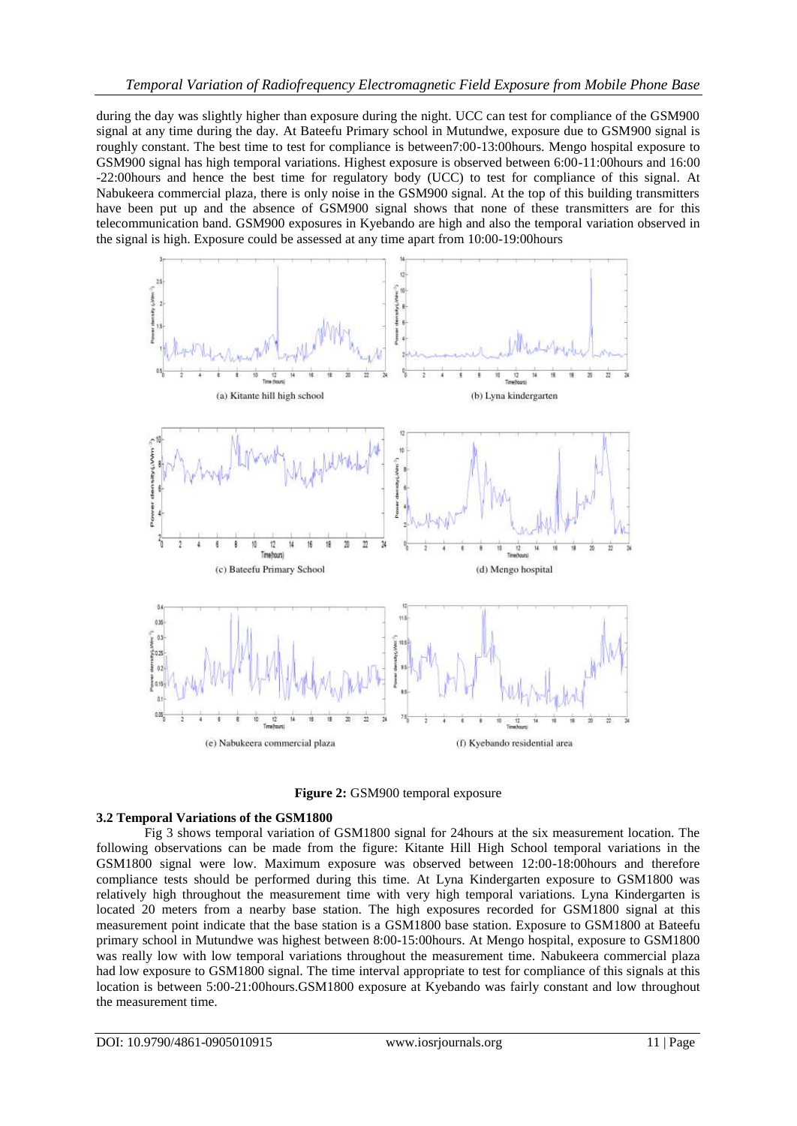during the day was slightly higher than exposure during the night. UCC can test for compliance of the GSM900 signal at any time during the day. At Bateefu Primary school in Mutundwe, exposure due to GSM900 signal is roughly constant. The best time to test for compliance is between7:00-13:00hours. Mengo hospital exposure to GSM900 signal has high temporal variations. Highest exposure is observed between 6:00-11:00hours and 16:00 -22:00hours and hence the best time for regulatory body (UCC) to test for compliance of this signal. At Nabukeera commercial plaza, there is only noise in the GSM900 signal. At the top of this building transmitters have been put up and the absence of GSM900 signal shows that none of these transmitters are for this telecommunication band. GSM900 exposures in Kyebando are high and also the temporal variation observed in the signal is high. Exposure could be assessed at any time apart from 10:00-19:00hours





## **3.2 Temporal Variations of the GSM1800**

Fig 3 shows temporal variation of GSM1800 signal for 24hours at the six measurement location. The following observations can be made from the figure: Kitante Hill High School temporal variations in the GSM1800 signal were low. Maximum exposure was observed between 12:00-18:00hours and therefore compliance tests should be performed during this time. At Lyna Kindergarten exposure to GSM1800 was relatively high throughout the measurement time with very high temporal variations. Lyna Kindergarten is located 20 meters from a nearby base station. The high exposures recorded for GSM1800 signal at this measurement point indicate that the base station is a GSM1800 base station. Exposure to GSM1800 at Bateefu primary school in Mutundwe was highest between 8:00-15:00hours. At Mengo hospital, exposure to GSM1800 was really low with low temporal variations throughout the measurement time. Nabukeera commercial plaza had low exposure to GSM1800 signal. The time interval appropriate to test for compliance of this signals at this location is between 5:00-21:00hours.GSM1800 exposure at Kyebando was fairly constant and low throughout the measurement time.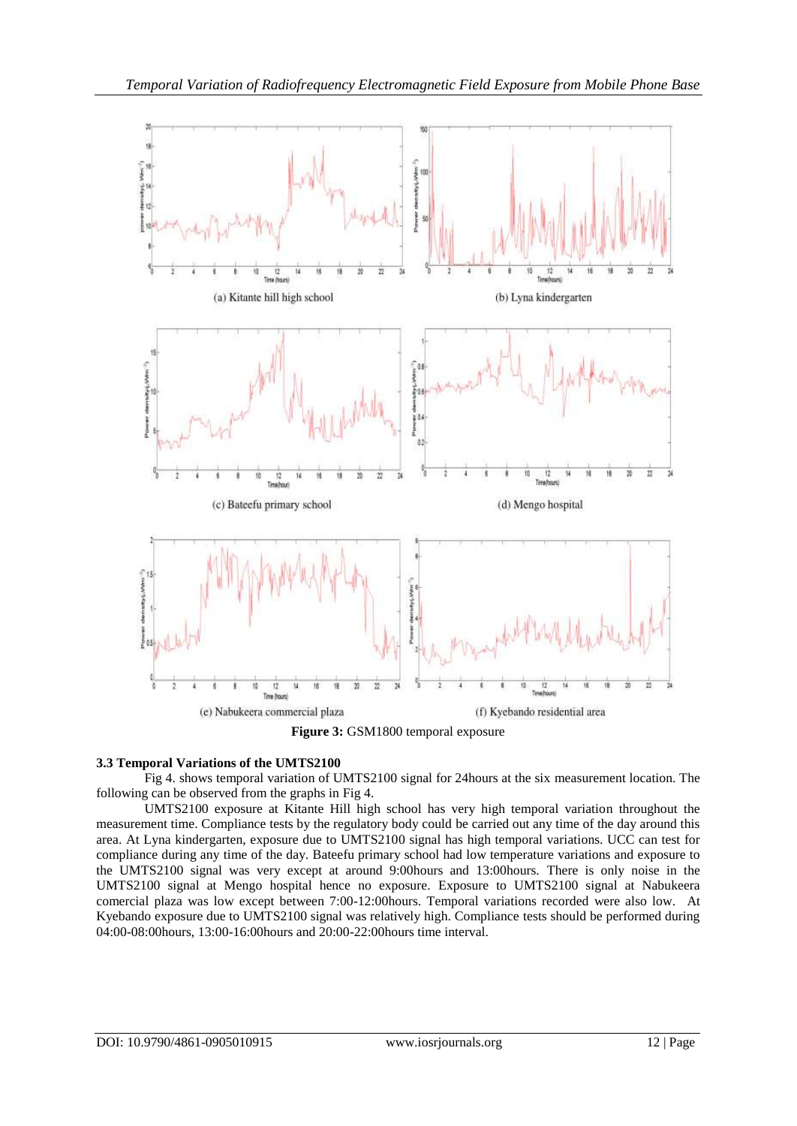

**Figure 3:** GSM1800 temporal exposure

## **3.3 Temporal Variations of the UMTS2100**

Fig 4. shows temporal variation of UMTS2100 signal for 24hours at the six measurement location. The following can be observed from the graphs in Fig 4.

UMTS2100 exposure at Kitante Hill high school has very high temporal variation throughout the measurement time. Compliance tests by the regulatory body could be carried out any time of the day around this area. At Lyna kindergarten, exposure due to UMTS2100 signal has high temporal variations. UCC can test for compliance during any time of the day. Bateefu primary school had low temperature variations and exposure to the UMTS2100 signal was very except at around 9:00hours and 13:00hours. There is only noise in the UMTS2100 signal at Mengo hospital hence no exposure. Exposure to UMTS2100 signal at Nabukeera comercial plaza was low except between 7:00-12:00hours. Temporal variations recorded were also low. At Kyebando exposure due to UMTS2100 signal was relatively high. Compliance tests should be performed during 04:00-08:00hours, 13:00-16:00hours and 20:00-22:00hours time interval.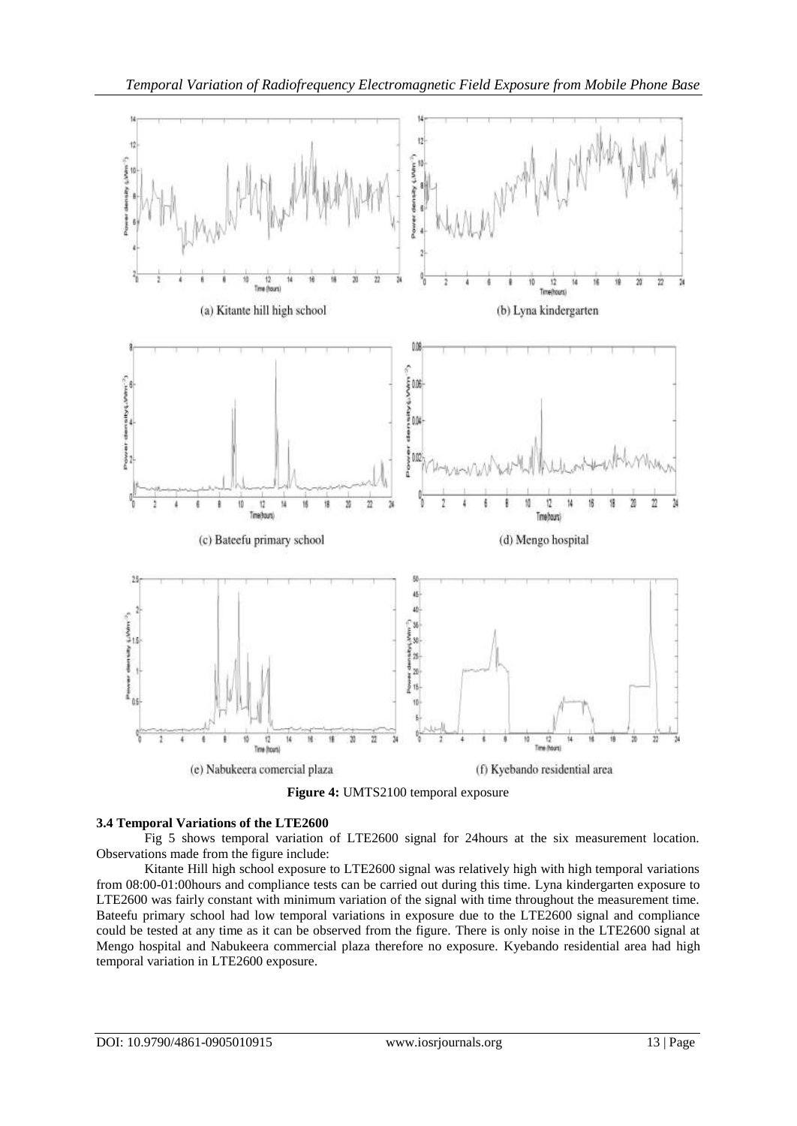

## **3.4 Temporal Variations of the LTE2600**

Fig 5 shows temporal variation of LTE2600 signal for 24hours at the six measurement location. Observations made from the figure include:

Kitante Hill high school exposure to LTE2600 signal was relatively high with high temporal variations from 08:00-01:00hours and compliance tests can be carried out during this time. Lyna kindergarten exposure to LTE2600 was fairly constant with minimum variation of the signal with time throughout the measurement time. Bateefu primary school had low temporal variations in exposure due to the LTE2600 signal and compliance could be tested at any time as it can be observed from the figure. There is only noise in the LTE2600 signal at Mengo hospital and Nabukeera commercial plaza therefore no exposure. Kyebando residential area had high temporal variation in LTE2600 exposure.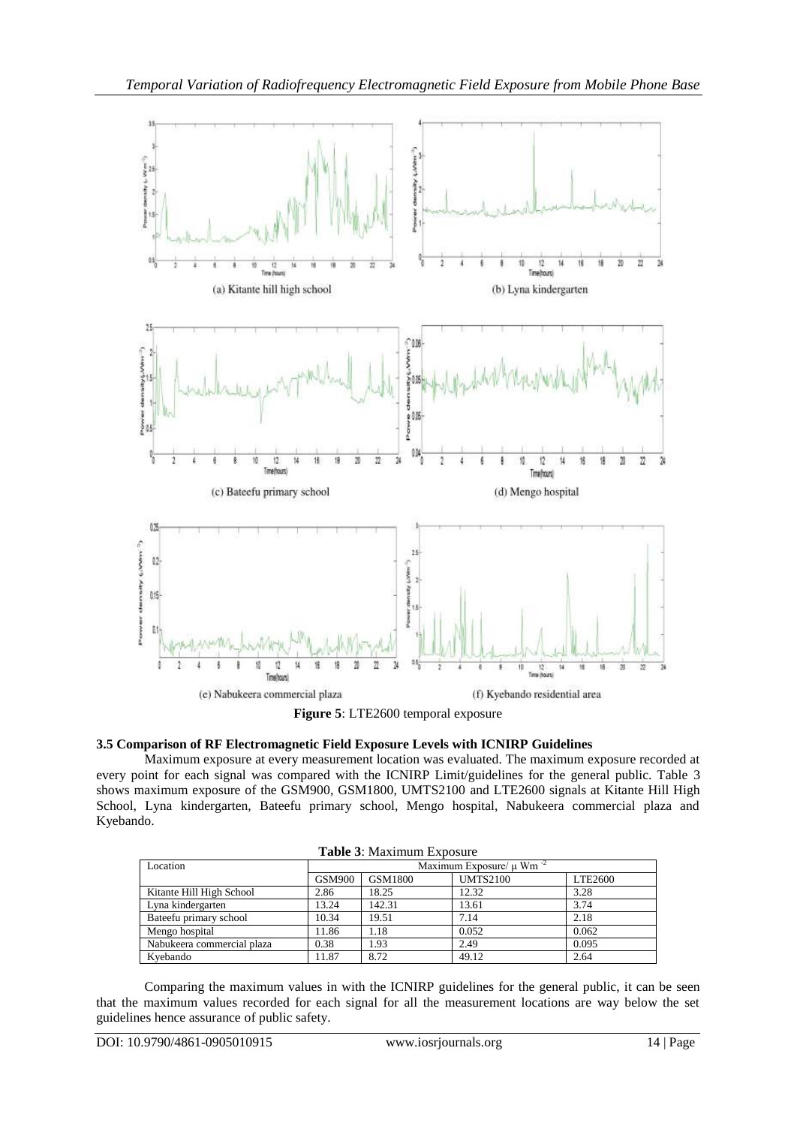

| Figure 5: LTE2600 temporal exposure |  |  |
|-------------------------------------|--|--|
|-------------------------------------|--|--|

## **3.5 Comparison of RF Electromagnetic Field Exposure Levels with ICNIRP Guidelines**

Maximum exposure at every measurement location was evaluated. The maximum exposure recorded at every point for each signal was compared with the ICNIRP Limit/guidelines for the general public. Table 3 shows maximum exposure of the GSM900, GSM1800, UMTS2100 and LTE2600 signals at Kitante Hill High School, Lyna kindergarten, Bateefu primary school, Mengo hospital, Nabukeera commercial plaza and Kyebando.

| <b>Table 3: Maximum Exposure</b> |                                          |         |                 |         |  |  |
|----------------------------------|------------------------------------------|---------|-----------------|---------|--|--|
| Location                         | Maximum Exposure/ $\mu$ Wm <sup>-2</sup> |         |                 |         |  |  |
|                                  | <b>GSM900</b>                            | GSM1800 | <b>UMTS2100</b> | LTE2600 |  |  |
| Kitante Hill High School         | 2.86                                     | 18.25   | 12.32           | 3.28    |  |  |
| Lyna kindergarten                | 13.24                                    | 142.31  | 13.61           | 3.74    |  |  |
| Bateefu primary school           | 10.34                                    | 19.51   | 7.14            | 2.18    |  |  |
| Mengo hospital                   | 11.86                                    | 1.18    | 0.052           | 0.062   |  |  |
| Nabukeera commercial plaza       | 0.38                                     | 1.93    | 2.49            | 0.095   |  |  |
| Kvebando                         | 11.87                                    | 8.72    | 49.12           | 2.64    |  |  |

Comparing the maximum values in with the ICNIRP guidelines for the general public, it can be seen that the maximum values recorded for each signal for all the measurement locations are way below the set guidelines hence assurance of public safety.